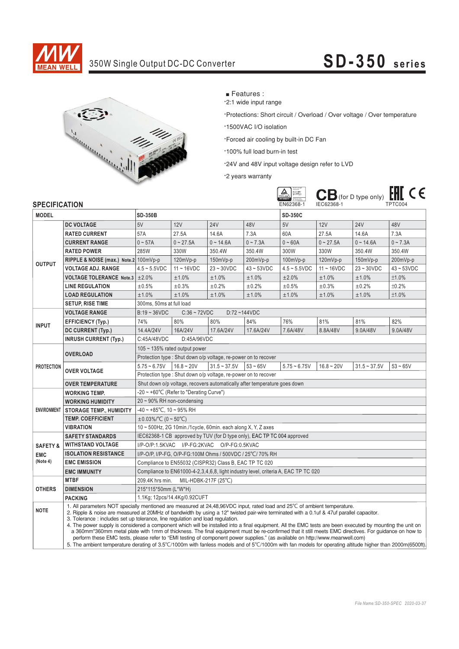

### 350W Single Output DC-DC Converter

# **SD-350 series**



- Features :
- 2:1 wide input range

· Protections: Short circuit / Overload / Over voltage / Over temperature

- .<br>1500VAC I/O isolation
- .<br>Forced air cooling by built-in DC Fan
- ·100% full load burn-in test
- .<br>
24V and 48V input voltage design refer to LVD
- <sup>2</sup> years warranty







#### **SPECIFICATION**

| <b>MODEL</b>        |                                                                                                                                                                                                                                                                                                                                                       | <b>SD-350B</b>                                                                                                                                                                                                                                                                                                                                                                                                                                                                                                                                                                                                  |              |                |              | <b>SD-350C</b>  |              |                |              |  |  |
|---------------------|-------------------------------------------------------------------------------------------------------------------------------------------------------------------------------------------------------------------------------------------------------------------------------------------------------------------------------------------------------|-----------------------------------------------------------------------------------------------------------------------------------------------------------------------------------------------------------------------------------------------------------------------------------------------------------------------------------------------------------------------------------------------------------------------------------------------------------------------------------------------------------------------------------------------------------------------------------------------------------------|--------------|----------------|--------------|-----------------|--------------|----------------|--------------|--|--|
| <b>OUTPUT</b>       | <b>DC VOLTAGE</b>                                                                                                                                                                                                                                                                                                                                     | 5V                                                                                                                                                                                                                                                                                                                                                                                                                                                                                                                                                                                                              | 12V          | <b>24V</b>     | 48V          | 5V              | 12V          | <b>24V</b>     | 48V          |  |  |
|                     | <b>RATED CURRENT</b>                                                                                                                                                                                                                                                                                                                                  | 57A                                                                                                                                                                                                                                                                                                                                                                                                                                                                                                                                                                                                             | 27.5A        | 14.6A          | 7.3A         | 60A             | 27.5A        | 14.6A          | 7.3A         |  |  |
|                     | <b>CURRENT RANGE</b>                                                                                                                                                                                                                                                                                                                                  | $0 - 57A$                                                                                                                                                                                                                                                                                                                                                                                                                                                                                                                                                                                                       | $0 - 27.5A$  | $0 - 14.6A$    | $0 - 7.3A$   | $0 - 60A$       | $0 - 27.5A$  | $0 - 14.6A$    | $0 - 7.3A$   |  |  |
|                     | <b>RATED POWER</b>                                                                                                                                                                                                                                                                                                                                    | 285W                                                                                                                                                                                                                                                                                                                                                                                                                                                                                                                                                                                                            | 330W         | 350.4W         | 350.4W       | 300W            | 330W         | 350.4W         | 350.4W       |  |  |
|                     | RIPPLE & NOISE (max.) Note.2 100mVp-p                                                                                                                                                                                                                                                                                                                 |                                                                                                                                                                                                                                                                                                                                                                                                                                                                                                                                                                                                                 | 120mVp-p     | 150mVp-p       | 200mVp-p     | 100mVp-p        | 120mVp-p     | 150mVp-p       | 200mVp-p     |  |  |
|                     | <b>VOLTAGE ADJ. RANGE</b>                                                                                                                                                                                                                                                                                                                             | $4.5 - 5.5VDC$                                                                                                                                                                                                                                                                                                                                                                                                                                                                                                                                                                                                  | $11 - 16VDC$ | $23 - 30VDC$   | $43 - 53VDC$ | $4.5 - 5.5$ VDC | $11 - 16VDC$ | $23 - 30VDC$   | $43 - 53VDC$ |  |  |
|                     | <b>VOLTAGE TOLERANCE Note.3</b>                                                                                                                                                                                                                                                                                                                       | ±2.0%                                                                                                                                                                                                                                                                                                                                                                                                                                                                                                                                                                                                           | ±1.0%        | ±1.0%          | ±1.0%        | ±2.0%           | ±1.0%        | ±1.0%          | ±1.0%        |  |  |
|                     | <b>LINE REGULATION</b>                                                                                                                                                                                                                                                                                                                                | ±0.5%                                                                                                                                                                                                                                                                                                                                                                                                                                                                                                                                                                                                           | ±0.3%        | ±0.2%          | ±0.2%        | ±0.5%           | ±0.3%        | ±0.2%          | ±0.2%        |  |  |
|                     | <b>LOAD REGULATION</b>                                                                                                                                                                                                                                                                                                                                | ±1.0%                                                                                                                                                                                                                                                                                                                                                                                                                                                                                                                                                                                                           | ±1.0%        | ±1.0%          | ±1.0%        | ±1.0%           | ±1.0%        | ±1.0%          | ±1.0%        |  |  |
|                     | <b>SETUP, RISE TIME</b>                                                                                                                                                                                                                                                                                                                               | 300ms, 50ms at full load                                                                                                                                                                                                                                                                                                                                                                                                                                                                                                                                                                                        |              |                |              |                 |              |                |              |  |  |
| <b>INPUT</b>        | <b>VOLTAGE RANGE</b>                                                                                                                                                                                                                                                                                                                                  | $B:19 - 36VDC$<br>$C:36 \sim 72VDC$<br>$D:72 \sim 144 VDC$                                                                                                                                                                                                                                                                                                                                                                                                                                                                                                                                                      |              |                |              |                 |              |                |              |  |  |
|                     | <b>EFFICIENCY (Typ.)</b>                                                                                                                                                                                                                                                                                                                              | 74%                                                                                                                                                                                                                                                                                                                                                                                                                                                                                                                                                                                                             | 80%          | 80%            | 84%          | 76%             | 81%          | 81%            | 82%          |  |  |
|                     | DC CURRENT (Typ.)                                                                                                                                                                                                                                                                                                                                     | 14.4A/24V                                                                                                                                                                                                                                                                                                                                                                                                                                                                                                                                                                                                       | 16A/24V      | 17.6A/24V      | 17.6A/24V    | 7.6A/48V        | 8.8A/48V     | 9.0A/48V       | 9.0A/48V     |  |  |
|                     | <b>INRUSH CURRENT (Typ.)</b>                                                                                                                                                                                                                                                                                                                          | C:45A/48VDC<br>D:45A/96VDC                                                                                                                                                                                                                                                                                                                                                                                                                                                                                                                                                                                      |              |                |              |                 |              |                |              |  |  |
| <b>PROTECTION</b>   | <b>OVERLOAD</b>                                                                                                                                                                                                                                                                                                                                       | 105 $\sim$ 135% rated output power                                                                                                                                                                                                                                                                                                                                                                                                                                                                                                                                                                              |              |                |              |                 |              |                |              |  |  |
|                     |                                                                                                                                                                                                                                                                                                                                                       | Protection type : Shut down o/p voltage, re-power on to recover                                                                                                                                                                                                                                                                                                                                                                                                                                                                                                                                                 |              |                |              |                 |              |                |              |  |  |
|                     | <b>OVER VOLTAGE</b>                                                                                                                                                                                                                                                                                                                                   | $5.75 - 6.75V$                                                                                                                                                                                                                                                                                                                                                                                                                                                                                                                                                                                                  | $16.8 - 20V$ | $31.5 - 37.5V$ | $53 - 65V$   | $5.75 - 6.75V$  | $16.8 - 20V$ | $31.5 - 37.5V$ | $53 - 65V$   |  |  |
|                     |                                                                                                                                                                                                                                                                                                                                                       | Protection type : Shut down o/p voltage, re-power on to recover                                                                                                                                                                                                                                                                                                                                                                                                                                                                                                                                                 |              |                |              |                 |              |                |              |  |  |
|                     | <b>OVER TEMPERATURE</b>                                                                                                                                                                                                                                                                                                                               | Shut down o/p voltage, recovers automatically after temperature goes down                                                                                                                                                                                                                                                                                                                                                                                                                                                                                                                                       |              |                |              |                 |              |                |              |  |  |
|                     | <b>WORKING TEMP.</b>                                                                                                                                                                                                                                                                                                                                  | -20 ~ +60°C (Refer to "Derating Curve")                                                                                                                                                                                                                                                                                                                                                                                                                                                                                                                                                                         |              |                |              |                 |              |                |              |  |  |
| <b>ENVIRONMENT</b>  | <b>WORKING HUMIDITY</b>                                                                                                                                                                                                                                                                                                                               | $20 \sim 90\%$ RH non-condensing                                                                                                                                                                                                                                                                                                                                                                                                                                                                                                                                                                                |              |                |              |                 |              |                |              |  |  |
|                     | <b>STORAGE TEMP., HUMIDITY</b>                                                                                                                                                                                                                                                                                                                        | $-40 \sim +85^{\circ}$ C, 10 ~ 95% RH                                                                                                                                                                                                                                                                                                                                                                                                                                                                                                                                                                           |              |                |              |                 |              |                |              |  |  |
|                     | <b>TEMP. COEFFICIENT</b>                                                                                                                                                                                                                                                                                                                              | $\pm 0.03\%$ $\degree$ C (0 ~ 50 $\degree$ C)                                                                                                                                                                                                                                                                                                                                                                                                                                                                                                                                                                   |              |                |              |                 |              |                |              |  |  |
|                     | <b>VIBRATION</b>                                                                                                                                                                                                                                                                                                                                      | 10 ~ 500Hz, 2G 10min./1cycle, 60min. each along X, Y, Z axes                                                                                                                                                                                                                                                                                                                                                                                                                                                                                                                                                    |              |                |              |                 |              |                |              |  |  |
|                     | <b>SAFETY STANDARDS</b>                                                                                                                                                                                                                                                                                                                               | IEC62368-1 CB approved by TUV (for D type only), EAC TP TC 004 approved<br>I/P-O/P:1.5KVAC I/P-FG:2KVAC O/P-FG:0.5KVAC                                                                                                                                                                                                                                                                                                                                                                                                                                                                                          |              |                |              |                 |              |                |              |  |  |
| <b>SAFETY &amp;</b> | <b>WITHSTAND VOLTAGE</b>                                                                                                                                                                                                                                                                                                                              |                                                                                                                                                                                                                                                                                                                                                                                                                                                                                                                                                                                                                 |              |                |              |                 |              |                |              |  |  |
| <b>EMC</b>          | <b>ISOLATION RESISTANCE</b><br>I/P-O/P, I/P-FG, O/P-FG:100M Ohms / 500VDC / 25°C/ 70% RH                                                                                                                                                                                                                                                              |                                                                                                                                                                                                                                                                                                                                                                                                                                                                                                                                                                                                                 |              |                |              |                 |              |                |              |  |  |
| (Note 4)            | <b>EMC EMISSION</b>                                                                                                                                                                                                                                                                                                                                   | Compliance to EN55032 (CISPR32) Class B, EAC TP TC 020                                                                                                                                                                                                                                                                                                                                                                                                                                                                                                                                                          |              |                |              |                 |              |                |              |  |  |
|                     | Compliance to EN61000-4-2,3,4,6,8, light industry level, criteria A, EAC TP TC 020<br><b>EMC IMMUNITY</b>                                                                                                                                                                                                                                             |                                                                                                                                                                                                                                                                                                                                                                                                                                                                                                                                                                                                                 |              |                |              |                 |              |                |              |  |  |
| <b>OTHERS</b>       | <b>MTBF</b>                                                                                                                                                                                                                                                                                                                                           | MIL-HDBK-217F (25°C)<br>209.4K hrs min.                                                                                                                                                                                                                                                                                                                                                                                                                                                                                                                                                                         |              |                |              |                 |              |                |              |  |  |
|                     | <b>DIMENSION</b>                                                                                                                                                                                                                                                                                                                                      | 215*115*50mm (L*W*H)                                                                                                                                                                                                                                                                                                                                                                                                                                                                                                                                                                                            |              |                |              |                 |              |                |              |  |  |
|                     | <b>PACKING</b>                                                                                                                                                                                                                                                                                                                                        | 1.1Kg; 12pcs/14.4Kg/0.92CUFT                                                                                                                                                                                                                                                                                                                                                                                                                                                                                                                                                                                    |              |                |              |                 |              |                |              |  |  |
| <b>NOTE</b>         | 1. All parameters NOT specially mentioned are measured at 24,48,96VDC input, rated load and 25°C of ambient temperature.<br>2. Ripple & noise are measured at 20MHz of bandwidth by using a 12" twisted pair-wire terminated with a 0.1uf & 47uf parallel capacitor.<br>3. Tolerance: includes set up tolerance, line regulation and load regulation. |                                                                                                                                                                                                                                                                                                                                                                                                                                                                                                                                                                                                                 |              |                |              |                 |              |                |              |  |  |
|                     |                                                                                                                                                                                                                                                                                                                                                       | 4. The power supply is considered a component which will be installed into a final equipment. All the EMC tests are been executed by mounting the unit on<br>a 360mm*360mm metal plate with 1mm of thickness. The final equipment must be re-confirmed that it still meets EMC directives. For guidance on how to<br>perform these EMC tests, please refer to "EMI testing of component power supplies." (as available on http://www.meanwell.com)<br>5. The ambient temperature derating of 3.5°C/1000m with fanless models and of 5°C/1000m with fan models for operating altitude higher than 2000m(6500ft). |              |                |              |                 |              |                |              |  |  |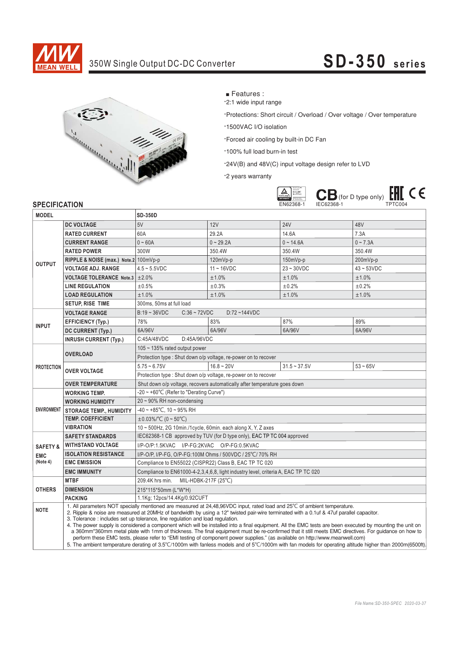

### 350W Single Output DC-DC Converter

# **SD-350 series**



- Features :
- 2:1 wide input range

· Protections: Short circuit / Overload / Over voltage / Over temperature

- .<br>1500VAC I/O isolation
- .<br>Forced air cooling by built-in DC Fan
- ·100% full load burn-in test
- .<br>
'24V(B) and 48V(C) input voltage design refer to LVD

<sup>2</sup> years warranty



#### **SPECIFICATION**

| <b>MODEL</b>        |                                                                                                                                                                                                                                                                                                                                                                                                                                                                                                                                                                                                                                                                                                                                                                                                                                                                                                                                                                          | <b>SD-350D</b>                                                                                                      |               |                |              |  |  |  |  |
|---------------------|--------------------------------------------------------------------------------------------------------------------------------------------------------------------------------------------------------------------------------------------------------------------------------------------------------------------------------------------------------------------------------------------------------------------------------------------------------------------------------------------------------------------------------------------------------------------------------------------------------------------------------------------------------------------------------------------------------------------------------------------------------------------------------------------------------------------------------------------------------------------------------------------------------------------------------------------------------------------------|---------------------------------------------------------------------------------------------------------------------|---------------|----------------|--------------|--|--|--|--|
|                     | <b>DC VOLTAGE</b>                                                                                                                                                                                                                                                                                                                                                                                                                                                                                                                                                                                                                                                                                                                                                                                                                                                                                                                                                        | 5V                                                                                                                  | 12V           | <b>24V</b>     | 48V          |  |  |  |  |
| <b>OUTPUT</b>       | <b>RATED CURRENT</b>                                                                                                                                                                                                                                                                                                                                                                                                                                                                                                                                                                                                                                                                                                                                                                                                                                                                                                                                                     | 60A                                                                                                                 | 29.2A         | 14.6A          | 7.3A         |  |  |  |  |
|                     | <b>CURRENT RANGE</b>                                                                                                                                                                                                                                                                                                                                                                                                                                                                                                                                                                                                                                                                                                                                                                                                                                                                                                                                                     | $0 - 60A$                                                                                                           | $0 - 29.2A$   | $0 - 14.6A$    | $0 - 7.3A$   |  |  |  |  |
|                     | <b>RATED POWER</b>                                                                                                                                                                                                                                                                                                                                                                                                                                                                                                                                                                                                                                                                                                                                                                                                                                                                                                                                                       | 300W                                                                                                                | 350.4W        | 350.4W         | 350.4W       |  |  |  |  |
|                     | RIPPLE & NOISE (max.) Note.2 100mVp-p                                                                                                                                                                                                                                                                                                                                                                                                                                                                                                                                                                                                                                                                                                                                                                                                                                                                                                                                    |                                                                                                                     | $120mVp-p$    | 150mVp-p       | 200mVp-p     |  |  |  |  |
|                     | <b>VOLTAGE ADJ. RANGE</b>                                                                                                                                                                                                                                                                                                                                                                                                                                                                                                                                                                                                                                                                                                                                                                                                                                                                                                                                                | $4.5 - 5.5$ VDC                                                                                                     | $11 - 16$ VDC | $23 - 30$ VDC  | $43 - 53VDC$ |  |  |  |  |
|                     | <b>VOLTAGE TOLERANCE Note.3</b>                                                                                                                                                                                                                                                                                                                                                                                                                                                                                                                                                                                                                                                                                                                                                                                                                                                                                                                                          | ±2.0%                                                                                                               | ±1.0%         | ±1.0%          | ±1.0%        |  |  |  |  |
|                     | <b>LINE REGULATION</b>                                                                                                                                                                                                                                                                                                                                                                                                                                                                                                                                                                                                                                                                                                                                                                                                                                                                                                                                                   | ±0.5%                                                                                                               | ±0.3%         | ±0.2%          | ±0.2%        |  |  |  |  |
|                     | <b>LOAD REGULATION</b>                                                                                                                                                                                                                                                                                                                                                                                                                                                                                                                                                                                                                                                                                                                                                                                                                                                                                                                                                   | ±1.0%                                                                                                               | ±1.0%         | ±1.0%          | ±1.0%        |  |  |  |  |
|                     | <b>SETUP, RISE TIME</b>                                                                                                                                                                                                                                                                                                                                                                                                                                                                                                                                                                                                                                                                                                                                                                                                                                                                                                                                                  | 300ms, 50ms at full load                                                                                            |               |                |              |  |  |  |  |
| <b>INPUT</b>        | <b>VOLTAGE RANGE</b>                                                                                                                                                                                                                                                                                                                                                                                                                                                                                                                                                                                                                                                                                                                                                                                                                                                                                                                                                     | $B:19 - 36VDC$<br>$C:36 - 72VDC$<br>D:72~144VDC                                                                     |               |                |              |  |  |  |  |
|                     | <b>EFFICIENCY (Typ.)</b>                                                                                                                                                                                                                                                                                                                                                                                                                                                                                                                                                                                                                                                                                                                                                                                                                                                                                                                                                 | 78%                                                                                                                 | 83%           | 87%            | 89%          |  |  |  |  |
|                     | DC CURRENT (Typ.)                                                                                                                                                                                                                                                                                                                                                                                                                                                                                                                                                                                                                                                                                                                                                                                                                                                                                                                                                        | 6A/96V                                                                                                              | 6A/96V        | 6A/96V         | 6A/96V       |  |  |  |  |
|                     | <b>INRUSH CURRENT (Typ.)</b>                                                                                                                                                                                                                                                                                                                                                                                                                                                                                                                                                                                                                                                                                                                                                                                                                                                                                                                                             | C:45A/48VDC<br>D:45A/96VDC                                                                                          |               |                |              |  |  |  |  |
| <b>PROTECTION</b>   | <b>OVERLOAD</b>                                                                                                                                                                                                                                                                                                                                                                                                                                                                                                                                                                                                                                                                                                                                                                                                                                                                                                                                                          | 105 $\sim$ 135% rated output power                                                                                  |               |                |              |  |  |  |  |
|                     |                                                                                                                                                                                                                                                                                                                                                                                                                                                                                                                                                                                                                                                                                                                                                                                                                                                                                                                                                                          | Protection type : Shut down o/p voltage, re-power on to recover                                                     |               |                |              |  |  |  |  |
|                     | <b>OVER VOLTAGE</b>                                                                                                                                                                                                                                                                                                                                                                                                                                                                                                                                                                                                                                                                                                                                                                                                                                                                                                                                                      | $5.75 - 6.75V$                                                                                                      | $16.8 - 20V$  | $31.5 - 37.5V$ | $53 - 65V$   |  |  |  |  |
|                     |                                                                                                                                                                                                                                                                                                                                                                                                                                                                                                                                                                                                                                                                                                                                                                                                                                                                                                                                                                          | Protection type: Shut down o/p voltage, re-power on to recover                                                      |               |                |              |  |  |  |  |
|                     | <b>OVER TEMPERATURE</b>                                                                                                                                                                                                                                                                                                                                                                                                                                                                                                                                                                                                                                                                                                                                                                                                                                                                                                                                                  | Shut down o/p voltage, recovers automatically after temperature goes down                                           |               |                |              |  |  |  |  |
| <b>ENVIRONMENT</b>  | <b>WORKING TEMP.</b>                                                                                                                                                                                                                                                                                                                                                                                                                                                                                                                                                                                                                                                                                                                                                                                                                                                                                                                                                     | -20 ~ +60°C (Refer to "Derating Curve")                                                                             |               |                |              |  |  |  |  |
|                     | <b>WORKING HUMIDITY</b>                                                                                                                                                                                                                                                                                                                                                                                                                                                                                                                                                                                                                                                                                                                                                                                                                                                                                                                                                  | $20 \sim 90\%$ RH non-condensing                                                                                    |               |                |              |  |  |  |  |
|                     | <b>STORAGE TEMP., HUMIDITY</b>                                                                                                                                                                                                                                                                                                                                                                                                                                                                                                                                                                                                                                                                                                                                                                                                                                                                                                                                           | $-40 \sim +85^{\circ}$ C, 10 ~ 95% RH                                                                               |               |                |              |  |  |  |  |
|                     | <b>TEMP. COEFFICIENT</b>                                                                                                                                                                                                                                                                                                                                                                                                                                                                                                                                                                                                                                                                                                                                                                                                                                                                                                                                                 | $\pm 0.03\%$ $\degree$ C (0 ~ 50 $\degree$ C)                                                                       |               |                |              |  |  |  |  |
|                     | <b>VIBRATION</b>                                                                                                                                                                                                                                                                                                                                                                                                                                                                                                                                                                                                                                                                                                                                                                                                                                                                                                                                                         | 10 ~ 500Hz, 2G 10min./1cycle, 60min. each along X, Y, Z axes                                                        |               |                |              |  |  |  |  |
|                     | <b>SAFETY STANDARDS</b>                                                                                                                                                                                                                                                                                                                                                                                                                                                                                                                                                                                                                                                                                                                                                                                                                                                                                                                                                  | IEC62368-1 CB approved by TUV (for D type only), EAC TP TC 004 approved                                             |               |                |              |  |  |  |  |
| <b>SAFETY &amp;</b> | <b>WITHSTAND VOLTAGE</b>                                                                                                                                                                                                                                                                                                                                                                                                                                                                                                                                                                                                                                                                                                                                                                                                                                                                                                                                                 | I/P-O/P:1.5KVAC I/P-FG:2KVAC O/P-FG:0.5KVAC                                                                         |               |                |              |  |  |  |  |
| <b>EMC</b>          | <b>ISOLATION RESISTANCE</b>                                                                                                                                                                                                                                                                                                                                                                                                                                                                                                                                                                                                                                                                                                                                                                                                                                                                                                                                              | I/P-O/P. I/P-FG. O/P-FG:100M Ohms / 500VDC / 25°C/ 70% RH<br>Compliance to EN55022 (CISPR22) Class B, EAC TP TC 020 |               |                |              |  |  |  |  |
| (Note 4)            | <b>EMC EMISSION</b>                                                                                                                                                                                                                                                                                                                                                                                                                                                                                                                                                                                                                                                                                                                                                                                                                                                                                                                                                      |                                                                                                                     |               |                |              |  |  |  |  |
|                     | <b>EMC IMMUNITY</b>                                                                                                                                                                                                                                                                                                                                                                                                                                                                                                                                                                                                                                                                                                                                                                                                                                                                                                                                                      | Compliance to EN61000-4-2,3,4,6,8, light industry level, criteria A, EAC TP TC 020                                  |               |                |              |  |  |  |  |
| <b>OTHERS</b>       | <b>MTBF</b>                                                                                                                                                                                                                                                                                                                                                                                                                                                                                                                                                                                                                                                                                                                                                                                                                                                                                                                                                              | 209.4K hrs min.<br>MIL-HDBK-217F (25°C)                                                                             |               |                |              |  |  |  |  |
|                     | <b>DIMENSION</b>                                                                                                                                                                                                                                                                                                                                                                                                                                                                                                                                                                                                                                                                                                                                                                                                                                                                                                                                                         | 215*115*50mm (L*W*H)                                                                                                |               |                |              |  |  |  |  |
|                     | <b>PACKING</b>                                                                                                                                                                                                                                                                                                                                                                                                                                                                                                                                                                                                                                                                                                                                                                                                                                                                                                                                                           | 1.1Kg; 12pcs/14.4Kg/0.92CUFT                                                                                        |               |                |              |  |  |  |  |
| <b>NOTE</b>         | 1. All parameters NOT specially mentioned are measured at 24,48,96VDC input, rated load and 25°C of ambient temperature.<br>2. Ripple & noise are measured at 20MHz of bandwidth by using a 12" twisted pair-wire terminated with a 0.1uf & 47uf parallel capacitor.<br>3. Tolerance : includes set up tolerance, line regulation and load regulation.<br>4. The power supply is considered a component which will be installed into a final equipment. All the EMC tests are been executed by mounting the unit on<br>a 360mm*360mm metal plate with 1mm of thickness. The final equipment must be re-confirmed that it still meets EMC directives. For quidance on how to<br>perform these EMC tests, please refer to "EMI testing of component power supplies." (as available on http://www.meanwell.com)<br>5. The ambient temperature derating of 3.5°C/1000m with fanless models and of 5°C/1000m with fan models for operating altitude higher than 2000m(6500ft) |                                                                                                                     |               |                |              |  |  |  |  |